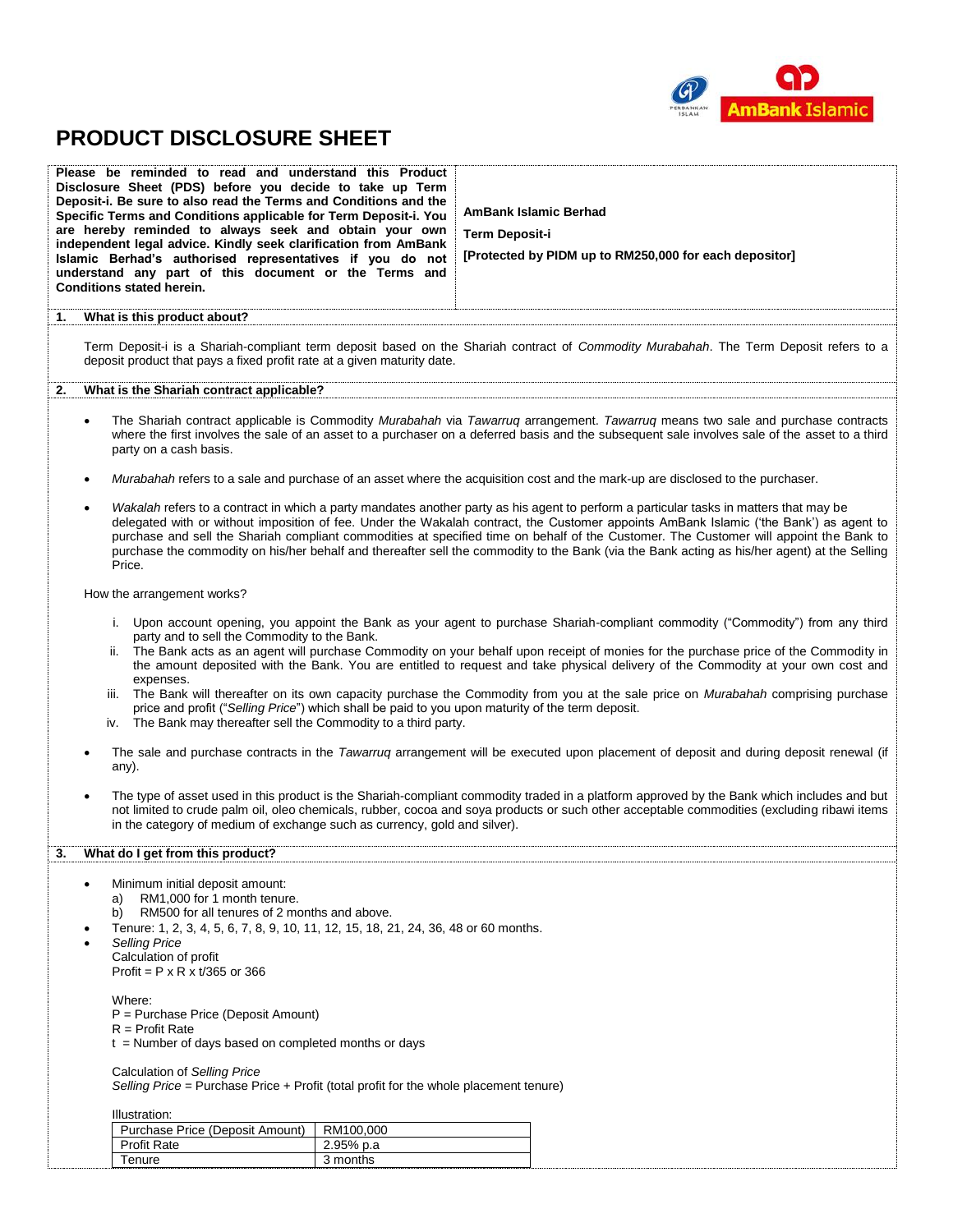

# **PRODUCT DISCLOSURE SHEET**

| Please be reminded to read and understand this Product<br>Disclosure Sheet (PDS) before you decide to take up Term<br>Deposit-i. Be sure to also read the Terms and Conditions and the<br>Specific Terms and Conditions applicable for Term Deposit-i. You<br>are hereby reminded to always seek and obtain your own<br>independent legal advice. Kindly seek clarification from AmBank<br>Islamic Berhad's authorised representatives if you do not<br>understand any part of this document or the Terms and<br><b>Conditions stated herein.</b> |                                                                                                                                                                                                                                                                                                                                                                                                                                                                                                                                                                                                                                                                                                                                                                           | <b>AmBank Islamic Berhad</b><br><b>Term Deposit-i</b><br>[Protected by PIDM up to RM250,000 for each depositor]                                                                                                                                                                                                                                                                                                                                                                                                                                                            |  |  |
|---------------------------------------------------------------------------------------------------------------------------------------------------------------------------------------------------------------------------------------------------------------------------------------------------------------------------------------------------------------------------------------------------------------------------------------------------------------------------------------------------------------------------------------------------|---------------------------------------------------------------------------------------------------------------------------------------------------------------------------------------------------------------------------------------------------------------------------------------------------------------------------------------------------------------------------------------------------------------------------------------------------------------------------------------------------------------------------------------------------------------------------------------------------------------------------------------------------------------------------------------------------------------------------------------------------------------------------|----------------------------------------------------------------------------------------------------------------------------------------------------------------------------------------------------------------------------------------------------------------------------------------------------------------------------------------------------------------------------------------------------------------------------------------------------------------------------------------------------------------------------------------------------------------------------|--|--|
| What is this product about?<br>1.                                                                                                                                                                                                                                                                                                                                                                                                                                                                                                                 |                                                                                                                                                                                                                                                                                                                                                                                                                                                                                                                                                                                                                                                                                                                                                                           |                                                                                                                                                                                                                                                                                                                                                                                                                                                                                                                                                                            |  |  |
| deposit product that pays a fixed profit rate at a given maturity date.                                                                                                                                                                                                                                                                                                                                                                                                                                                                           |                                                                                                                                                                                                                                                                                                                                                                                                                                                                                                                                                                                                                                                                                                                                                                           | Term Deposit-i is a Shariah-compliant term deposit based on the Shariah contract of Commodity Murabahah. The Term Deposit refers to a                                                                                                                                                                                                                                                                                                                                                                                                                                      |  |  |
| What is the Shariah contract applicable?<br>2.                                                                                                                                                                                                                                                                                                                                                                                                                                                                                                    |                                                                                                                                                                                                                                                                                                                                                                                                                                                                                                                                                                                                                                                                                                                                                                           |                                                                                                                                                                                                                                                                                                                                                                                                                                                                                                                                                                            |  |  |
| $\bullet$<br>party on a cash basis.                                                                                                                                                                                                                                                                                                                                                                                                                                                                                                               |                                                                                                                                                                                                                                                                                                                                                                                                                                                                                                                                                                                                                                                                                                                                                                           | The Shariah contract applicable is Commodity Murabahah via Tawarruq arrangement. Tawarruq means two sale and purchase contracts<br>where the first involves the sale of an asset to a purchaser on a deferred basis and the subsequent sale involves sale of the asset to a third                                                                                                                                                                                                                                                                                          |  |  |
|                                                                                                                                                                                                                                                                                                                                                                                                                                                                                                                                                   |                                                                                                                                                                                                                                                                                                                                                                                                                                                                                                                                                                                                                                                                                                                                                                           | Murabahah refers to a sale and purchase of an asset where the acquisition cost and the mark-up are disclosed to the purchaser.                                                                                                                                                                                                                                                                                                                                                                                                                                             |  |  |
| Price.                                                                                                                                                                                                                                                                                                                                                                                                                                                                                                                                            |                                                                                                                                                                                                                                                                                                                                                                                                                                                                                                                                                                                                                                                                                                                                                                           | Wakalah refers to a contract in which a party mandates another party as his agent to perform a particular tasks in matters that may be<br>delegated with or without imposition of fee. Under the Wakalah contract, the Customer appoints AmBank Islamic ('the Bank') as agent to<br>purchase and sell the Shariah compliant commodities at specified time on behalf of the Customer. The Customer will appoint the Bank to<br>purchase the commodity on his/her behalf and thereafter sell the commodity to the Bank (via the Bank acting as his/her agent) at the Selling |  |  |
| How the arrangement works?                                                                                                                                                                                                                                                                                                                                                                                                                                                                                                                        |                                                                                                                                                                                                                                                                                                                                                                                                                                                                                                                                                                                                                                                                                                                                                                           |                                                                                                                                                                                                                                                                                                                                                                                                                                                                                                                                                                            |  |  |
| expenses.<br>iii.                                                                                                                                                                                                                                                                                                                                                                                                                                                                                                                                 | i. Upon account opening, you appoint the Bank as your agent to purchase Shariah-compliant commodity ("Commodity") from any third<br>party and to sell the Commodity to the Bank.<br>ii. The Bank acts as an agent will purchase Commodity on your behalf upon receipt of monies for the purchase price of the Commodity in<br>the amount deposited with the Bank. You are entitled to request and take physical delivery of the Commodity at your own cost and<br>The Bank will thereafter on its own capacity purchase the Commodity from you at the sale price on Murabahah comprising purchase<br>price and profit ("Selling Price") which shall be paid to you upon maturity of the term deposit.<br>iv. The Bank may thereafter sell the Commodity to a third party. |                                                                                                                                                                                                                                                                                                                                                                                                                                                                                                                                                                            |  |  |
| any).                                                                                                                                                                                                                                                                                                                                                                                                                                                                                                                                             | The sale and purchase contracts in the Tawarruq arrangement will be executed upon placement of deposit and during deposit renewal (if                                                                                                                                                                                                                                                                                                                                                                                                                                                                                                                                                                                                                                     |                                                                                                                                                                                                                                                                                                                                                                                                                                                                                                                                                                            |  |  |
|                                                                                                                                                                                                                                                                                                                                                                                                                                                                                                                                                   | The type of asset used in this product is the Shariah-compliant commodity traded in a platform approved by the Bank which includes and but<br>not limited to crude palm oil, oleo chemicals, rubber, cocoa and soya products or such other acceptable commodities (excluding ribawi items<br>in the category of medium of exchange such as currency, gold and silver).                                                                                                                                                                                                                                                                                                                                                                                                    |                                                                                                                                                                                                                                                                                                                                                                                                                                                                                                                                                                            |  |  |
| What do I get from this product?<br>3.                                                                                                                                                                                                                                                                                                                                                                                                                                                                                                            |                                                                                                                                                                                                                                                                                                                                                                                                                                                                                                                                                                                                                                                                                                                                                                           |                                                                                                                                                                                                                                                                                                                                                                                                                                                                                                                                                                            |  |  |
| Minimum initial deposit amount:<br>RM1,000 for 1 month tenure.<br>a)<br>RM500 for all tenures of 2 months and above.<br>b)<br>Tenure: 1, 2, 3, 4, 5, 6, 7, 8, 9, 10, 11, 12, 15, 18, 21, 24, 36, 48 or 60 months.<br><b>Selling Price</b><br>Calculation of profit<br>Profit = $P \times R \times t/365$ or 366                                                                                                                                                                                                                                   |                                                                                                                                                                                                                                                                                                                                                                                                                                                                                                                                                                                                                                                                                                                                                                           |                                                                                                                                                                                                                                                                                                                                                                                                                                                                                                                                                                            |  |  |
| Where:<br>$R =$ Profit Rate                                                                                                                                                                                                                                                                                                                                                                                                                                                                                                                       | P = Purchase Price (Deposit Amount)<br>$t =$ Number of days based on completed months or days                                                                                                                                                                                                                                                                                                                                                                                                                                                                                                                                                                                                                                                                             |                                                                                                                                                                                                                                                                                                                                                                                                                                                                                                                                                                            |  |  |
| Calculation of Selling Price<br>Selling Price = Purchase Price + Profit (total profit for the whole placement tenure)                                                                                                                                                                                                                                                                                                                                                                                                                             |                                                                                                                                                                                                                                                                                                                                                                                                                                                                                                                                                                                                                                                                                                                                                                           |                                                                                                                                                                                                                                                                                                                                                                                                                                                                                                                                                                            |  |  |
| Illustration:                                                                                                                                                                                                                                                                                                                                                                                                                                                                                                                                     |                                                                                                                                                                                                                                                                                                                                                                                                                                                                                                                                                                                                                                                                                                                                                                           |                                                                                                                                                                                                                                                                                                                                                                                                                                                                                                                                                                            |  |  |
| Purchase Price (Deposit Amount)<br><b>Profit Rate</b>                                                                                                                                                                                                                                                                                                                                                                                                                                                                                             | RM100,000<br>2.95% p.a                                                                                                                                                                                                                                                                                                                                                                                                                                                                                                                                                                                                                                                                                                                                                    |                                                                                                                                                                                                                                                                                                                                                                                                                                                                                                                                                                            |  |  |
| Tenure                                                                                                                                                                                                                                                                                                                                                                                                                                                                                                                                            | 3 months                                                                                                                                                                                                                                                                                                                                                                                                                                                                                                                                                                                                                                                                                                                                                                  |                                                                                                                                                                                                                                                                                                                                                                                                                                                                                                                                                                            |  |  |
|                                                                                                                                                                                                                                                                                                                                                                                                                                                                                                                                                   |                                                                                                                                                                                                                                                                                                                                                                                                                                                                                                                                                                                                                                                                                                                                                                           |                                                                                                                                                                                                                                                                                                                                                                                                                                                                                                                                                                            |  |  |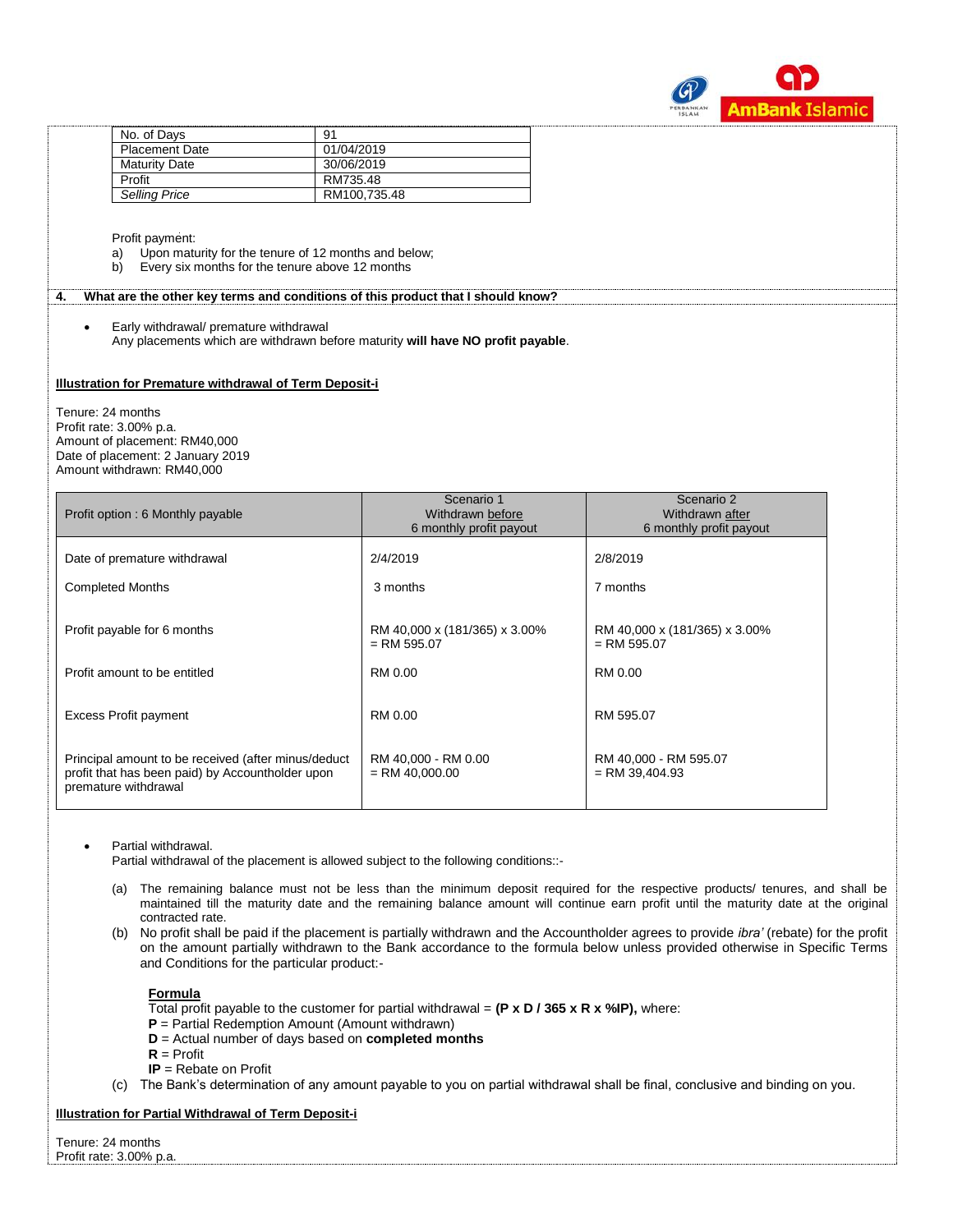

| No. of Days           | 91           |
|-----------------------|--------------|
| <b>Placement Date</b> | 01/04/2019   |
| <b>Maturity Date</b>  | 30/06/2019   |
| Profit                | RM735.48     |
| <b>Selling Price</b>  | RM100.735.48 |

Profit payment:

- a) Upon maturity for the tenure of 12 months and below;
- b) Every six months for the tenure above 12 months

#### **4. What are the other key terms and conditions of this product that I should know?**

 Early withdrawal/ premature withdrawal Any placements which are withdrawn before maturity **will have NO profit payable**.

## **Illustration for Premature withdrawal of Term Deposit-i**

Tenure: 24 months Profit rate: 3.00% p.a. Amount of placement: RM40,000 Date of placement: 2 January 2019 Amount withdrawn: RM40,000

| Profit option: 6 Monthly payable                                                                                                | Scenario 1<br>Withdrawn before<br>6 monthly profit payout | Scenario 2<br>Withdrawn after<br>6 monthly profit payout |
|---------------------------------------------------------------------------------------------------------------------------------|-----------------------------------------------------------|----------------------------------------------------------|
| Date of premature withdrawal                                                                                                    | 2/4/2019                                                  | 2/8/2019                                                 |
| <b>Completed Months</b>                                                                                                         | 3 months                                                  | 7 months                                                 |
| Profit payable for 6 months                                                                                                     | RM 40,000 x (181/365) x 3.00%<br>$=$ RM 595.07            | RM 40,000 x (181/365) x 3.00%<br>$=$ RM 595.07           |
| Profit amount to be entitled                                                                                                    | RM 0.00                                                   | RM 0.00                                                  |
| Excess Profit payment                                                                                                           | RM 0.00                                                   | RM 595.07                                                |
| Principal amount to be received (after minus/deduct<br>profit that has been paid) by Accountholder upon<br>premature withdrawal | RM 40,000 - RM 0.00<br>$=$ RM 40.000.00                   | RM 40,000 - RM 595.07<br>$=$ RM 39,404.93                |

### Partial withdrawal.

Partial withdrawal of the placement is allowed subject to the following conditions::-

- (a) The remaining balance must not be less than the minimum deposit required for the respective products/ tenures, and shall be maintained till the maturity date and the remaining balance amount will continue earn profit until the maturity date at the original contracted rate.
- (b) No profit shall be paid if the placement is partially withdrawn and the Accountholder agrees to provide *ibra'* (rebate) for the profit on the amount partially withdrawn to the Bank accordance to the formula below unless provided otherwise in Specific Terms and Conditions for the particular product:-

### **Formula**

Total profit payable to the customer for partial withdrawal =  $(P \times D / 365 \times R \times \% P)$ , where:

- **P** = Partial Redemption Amount (Amount withdrawn)
- **D** = Actual number of days based on **completed months**
- $R =$  Profit
- **IP** = Rebate on Profit
- (c) The Bank's determination of any amount payable to you on partial withdrawal shall be final, conclusive and binding on you.

## **Illustration for Partial Withdrawal of Term Deposit-i**

Tenure: 24 months Profit rate: 3.00% p.a.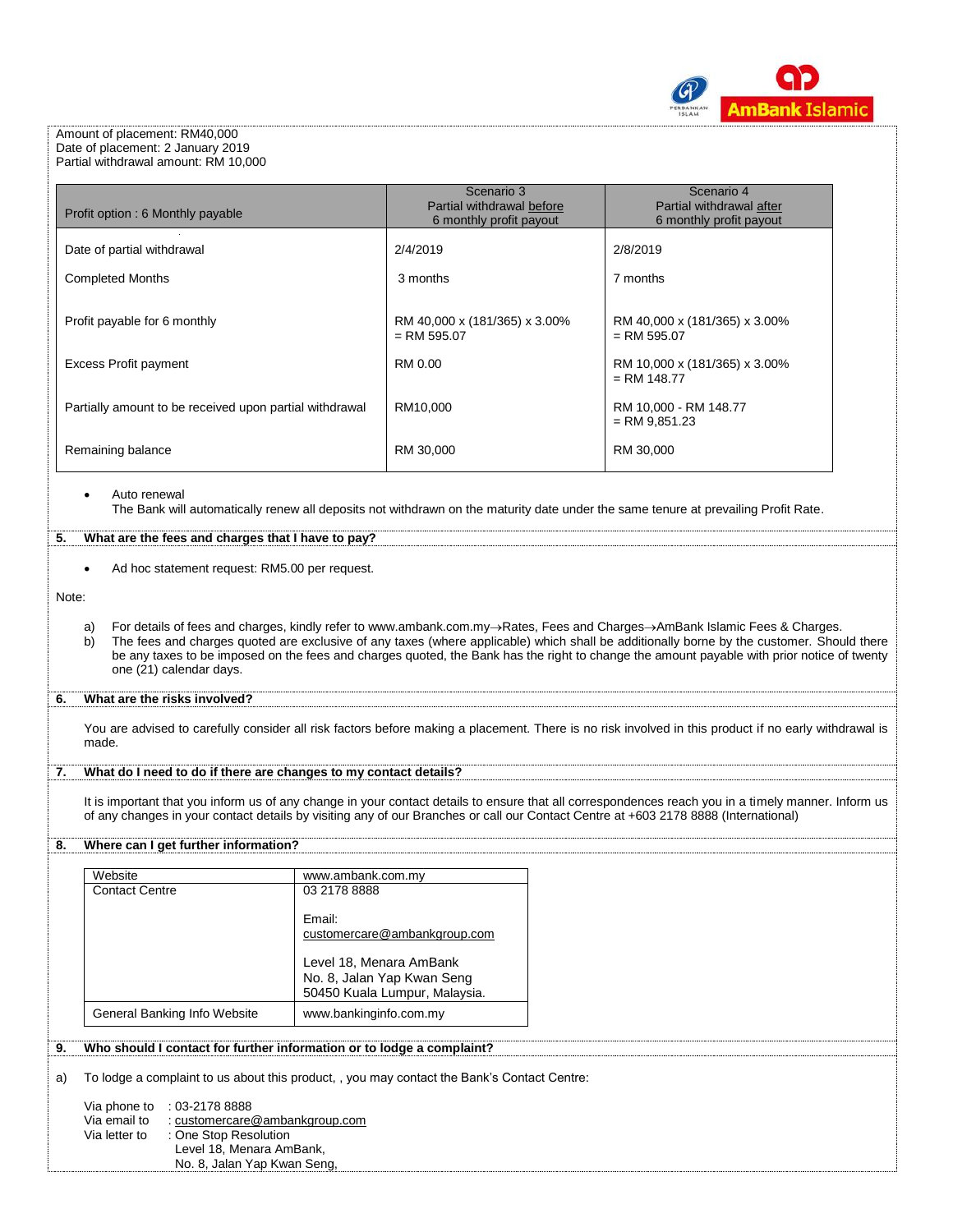

#### Amount of placement: RM40,000 Date of placement: 2 January 2019 Partial withdrawal amount: RM 10,000

| Profit option: 6 Monthly payable                        | Scenario 3<br>Partial withdrawal before<br>6 monthly profit payout | Scenario 4<br>Partial withdrawal after<br>6 monthly profit payout |
|---------------------------------------------------------|--------------------------------------------------------------------|-------------------------------------------------------------------|
| Date of partial withdrawal                              | 2/4/2019                                                           | 2/8/2019                                                          |
| <b>Completed Months</b>                                 | 3 months                                                           | 7 months                                                          |
| Profit payable for 6 monthly                            | RM 40,000 x (181/365) x 3.00%<br>$=$ RM 595.07                     | RM 40,000 x (181/365) x 3.00%<br>$=$ RM 595.07                    |
| <b>Excess Profit payment</b>                            | RM 0.00                                                            | RM 10,000 x (181/365) x 3.00%<br>$=$ RM 148.77                    |
| Partially amount to be received upon partial withdrawal | RM10,000                                                           | RM 10,000 - RM 148.77<br>$=$ RM 9,851.23                          |
| Remaining balance                                       | RM 30,000                                                          | RM 30,000                                                         |

**5. What are the fees and charges that I have to pay?**

Ad hoc statement request: RM5.00 per request.

Note:

a) For details of fees and charges, kindly refer to www.ambank.com.my->Rates, Fees and Charges->AmBank Islamic Fees & Charges.<br>b) The fees and charges quoted are exclusive of any taxes (where applicable) which shall be add The fees and charges quoted are exclusive of any taxes (where applicable) which shall be additionally borne by the customer. Should there be any taxes to be imposed on the fees and charges quoted, the Bank has the right to change the amount payable with prior notice of twenty one (21) calendar days.

## **6. What are the risks involved?**

You are advised to carefully consider all risk factors before making a placement. There is no risk involved in this product if no early withdrawal is made.

## **7. What do I need to do if there are changes to my contact details?**

It is important that you inform us of any change in your contact details to ensure that all correspondences reach you in a timely manner. Inform us of any changes in your contact details by visiting any of our Branches or call our Contact Centre at +603 2178 8888 (International)

## **8. Where can I get further information?**

| Website                      | www.ambank.com.my                                                                      |
|------------------------------|----------------------------------------------------------------------------------------|
| <b>Contact Centre</b>        | 03 2178 8888                                                                           |
|                              | Email:<br>customercare@ambankgroup.com                                                 |
|                              | Level 18, Menara AmBank<br>No. 8, Jalan Yap Kwan Seng<br>50450 Kuala Lumpur, Malaysia. |
| General Banking Info Website | www.bankinginfo.com.my                                                                 |

# **9. Who should I contact for further information or to lodge a complaint?**

a) To lodge a complaint to us about this product, , you may contact the Bank's Contact Centre:

Via phone to : 03-2178 8888 Via email to [: customercare@ambankgroup.com](mailto:customercare@ambankgroup.com) Via letter to : One Stop Resolution Level 18, Menara AmBank, No. 8, Jalan Yap Kwan Seng,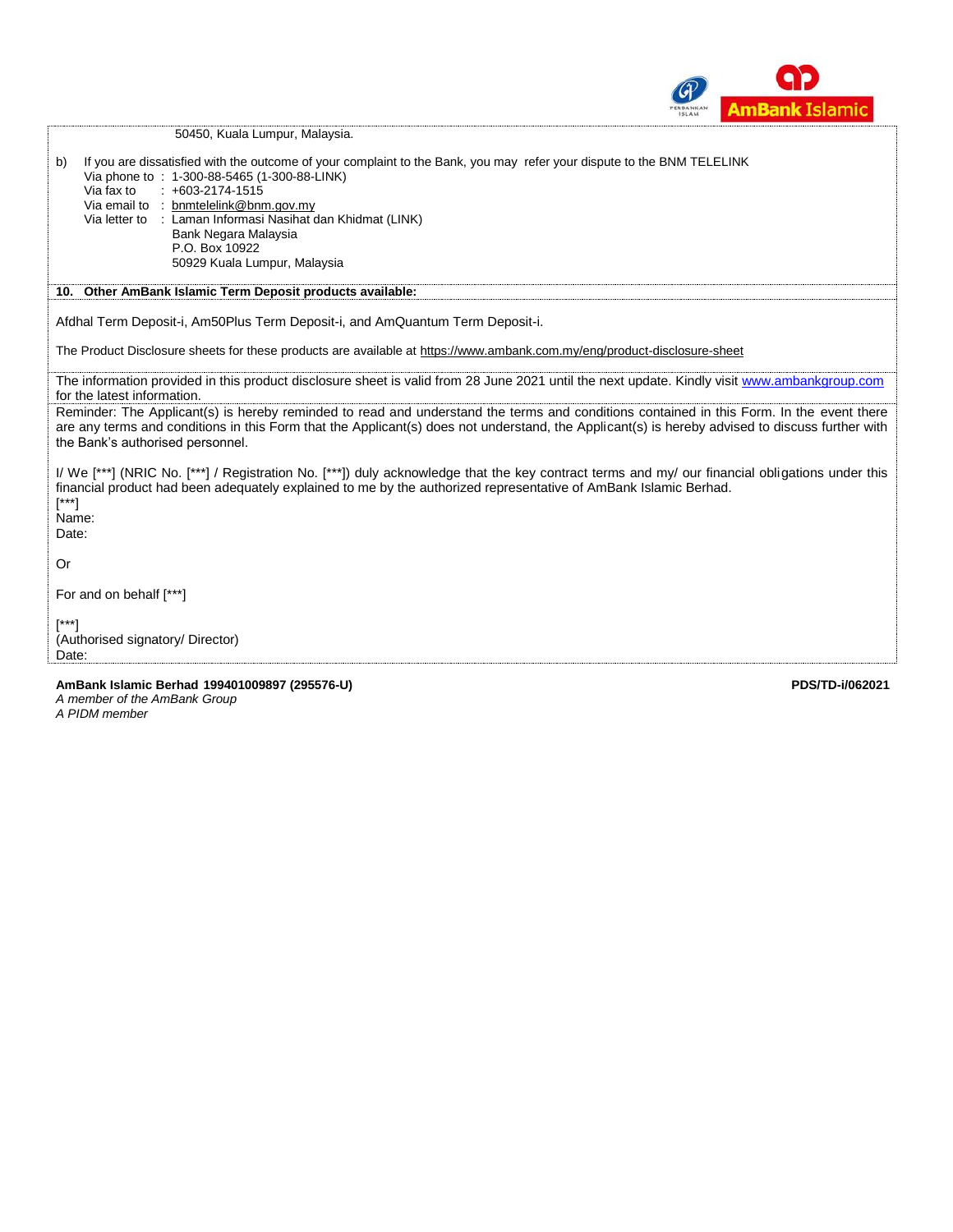

|                              | 50450, Kuala Lumpur, Malaysia.                                                                                                                                                                                                                                                                                                                                                              |
|------------------------------|---------------------------------------------------------------------------------------------------------------------------------------------------------------------------------------------------------------------------------------------------------------------------------------------------------------------------------------------------------------------------------------------|
| b)                           | If you are dissatisfied with the outcome of your complaint to the Bank, you may refer your dispute to the BNM TELELINK<br>Via phone to : 1-300-88-5465 (1-300-88-LINK)<br>$: +603-2174-1515$<br>Via fax to<br>Via email to : bnmtelelink@bnm.gov.my<br>Via letter to : Laman Informasi Nasihat dan Khidmat (LINK)<br>Bank Negara Malaysia<br>P.O. Box 10922<br>50929 Kuala Lumpur, Malaysia |
|                              | 10. Other AmBank Islamic Term Deposit products available:                                                                                                                                                                                                                                                                                                                                   |
|                              | Afdhal Term Deposit-i, Am50Plus Term Deposit-i, and AmQuantum Term Deposit-i.                                                                                                                                                                                                                                                                                                               |
|                              | The Product Disclosure sheets for these products are available at https://www.ambank.com.my/eng/product-disclosure-sheet                                                                                                                                                                                                                                                                    |
|                              | The information provided in this product disclosure sheet is valid from 28 June 2021 until the next update. Kindly visit www.ambankgroup.com<br>for the latest information.                                                                                                                                                                                                                 |
|                              | Reminder: The Applicant(s) is hereby reminded to read and understand the terms and conditions contained in this Form. In the event there<br>are any terms and conditions in this Form that the Applicant(s) does not understand, the Applicant(s) is hereby advised to discuss further with<br>the Bank's authorised personnel.                                                             |
| $[^{***}]$<br>Name:<br>Date: | I/ We [***] (NRIC No. [***] / Registration No. [***]) duly acknowledge that the key contract terms and my/ our financial obligations under this<br>financial product had been adequately explained to me by the authorized representative of AmBank Islamic Berhad.                                                                                                                         |
| 0r                           |                                                                                                                                                                                                                                                                                                                                                                                             |
|                              | For and on behalf [***]                                                                                                                                                                                                                                                                                                                                                                     |
| [***]<br>Date:               | (Authorised signatory/ Director)                                                                                                                                                                                                                                                                                                                                                            |
|                              | AmBank Islamic Berhad 199401009897 (295576-U)<br>PDS/TD-i/062021<br>A member of the AmBank Group<br>A PIDM member                                                                                                                                                                                                                                                                           |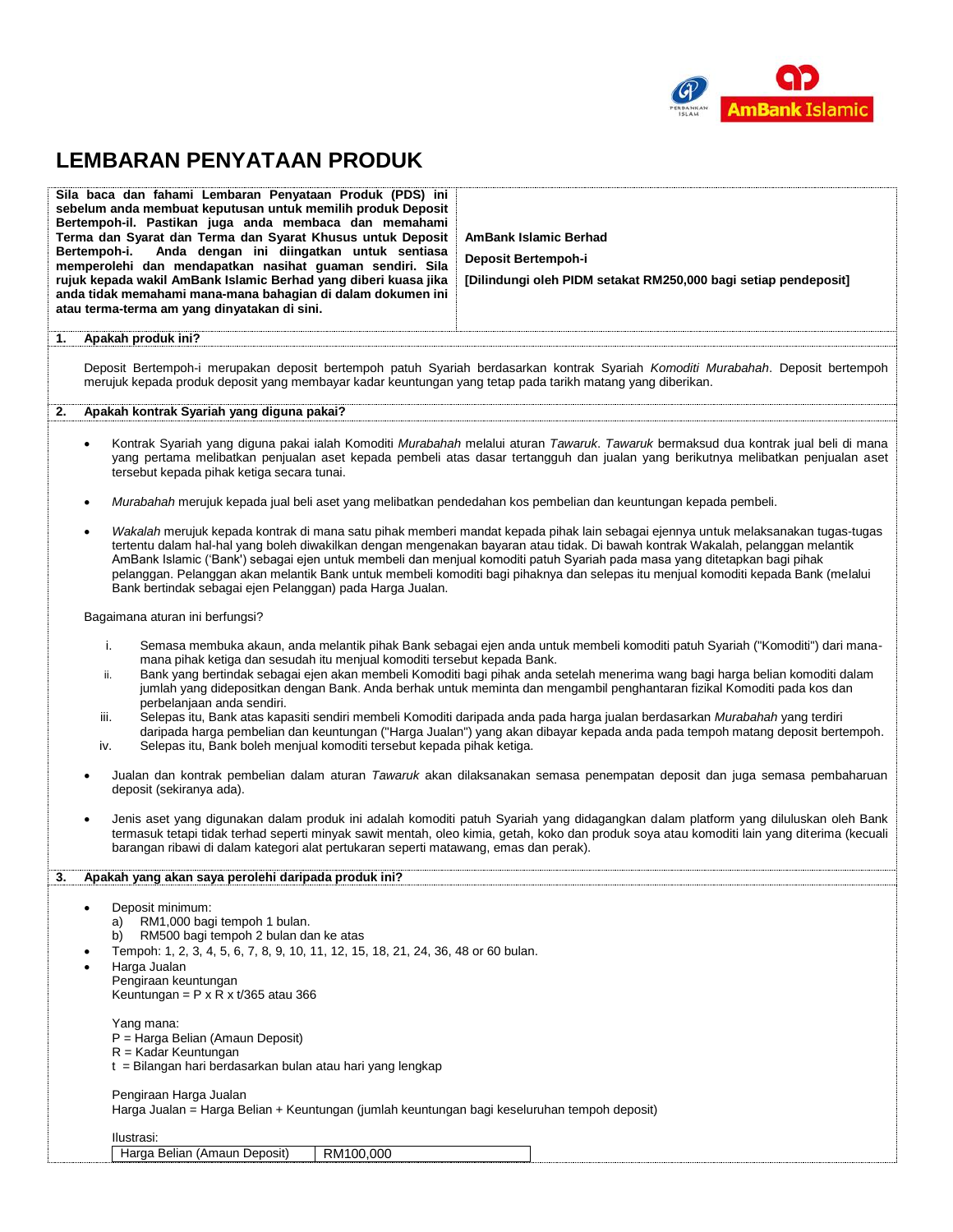

# **LEMBARAN PENYATAAN PRODUK**

|    | Sila baca dan fahami Lembaran Penyataan Produk (PDS) ini<br>sebelum anda membuat keputusan untuk memilih produk Deposit<br>Bertempoh-il. Pastikan juga anda membaca dan memahami<br>Terma dan Syarat dan Terma dan Syarat Khusus untuk Deposit<br>Bertempoh-i.<br>Anda dengan ini diingatkan untuk sentiasa<br>memperolehi dan mendapatkan nasihat guaman sendiri. Sila<br>rujuk kepada wakil AmBank Islamic Berhad yang diberi kuasa jika<br>anda tidak memahami mana-mana bahagian di dalam dokumen ini<br>atau terma-terma am yang dinyatakan di sini.                                                                                                                                                                                                                                                                                                                 | <b>AmBank Islamic Berhad</b><br>Deposit Bertempoh-i<br>[Dilindungi oleh PIDM setakat RM250,000 bagi setiap pendeposit]                                                                                                                                                                                                                                                                                                                                                                                                                   |  |
|----|---------------------------------------------------------------------------------------------------------------------------------------------------------------------------------------------------------------------------------------------------------------------------------------------------------------------------------------------------------------------------------------------------------------------------------------------------------------------------------------------------------------------------------------------------------------------------------------------------------------------------------------------------------------------------------------------------------------------------------------------------------------------------------------------------------------------------------------------------------------------------|------------------------------------------------------------------------------------------------------------------------------------------------------------------------------------------------------------------------------------------------------------------------------------------------------------------------------------------------------------------------------------------------------------------------------------------------------------------------------------------------------------------------------------------|--|
| 1. | Apakah produk ini?                                                                                                                                                                                                                                                                                                                                                                                                                                                                                                                                                                                                                                                                                                                                                                                                                                                        |                                                                                                                                                                                                                                                                                                                                                                                                                                                                                                                                          |  |
|    | merujuk kepada produk deposit yang membayar kadar keuntungan yang tetap pada tarikh matang yang diberikan.                                                                                                                                                                                                                                                                                                                                                                                                                                                                                                                                                                                                                                                                                                                                                                | Deposit Bertempoh-i merupakan deposit bertempoh patuh Syariah berdasarkan kontrak Syariah Komoditi Murabahah. Deposit bertempoh                                                                                                                                                                                                                                                                                                                                                                                                          |  |
| 2. | Apakah kontrak Syariah yang diguna pakai?                                                                                                                                                                                                                                                                                                                                                                                                                                                                                                                                                                                                                                                                                                                                                                                                                                 |                                                                                                                                                                                                                                                                                                                                                                                                                                                                                                                                          |  |
|    | $\bullet$<br>tersebut kepada pihak ketiga secara tunai.                                                                                                                                                                                                                                                                                                                                                                                                                                                                                                                                                                                                                                                                                                                                                                                                                   | Kontrak Syariah yang diguna pakai ialah Komoditi Murabahah melalui aturan Tawaruk. Tawaruk bermaksud dua kontrak jual beli di mana<br>yang pertama melibatkan penjualan aset kepada pembeli atas dasar tertangguh dan jualan yang berikutnya melibatkan penjualan aset                                                                                                                                                                                                                                                                   |  |
|    | Murabahah merujuk kepada jual beli aset yang melibatkan pendedahan kos pembelian dan keuntungan kepada pembeli.<br>$\bullet$                                                                                                                                                                                                                                                                                                                                                                                                                                                                                                                                                                                                                                                                                                                                              |                                                                                                                                                                                                                                                                                                                                                                                                                                                                                                                                          |  |
|    | $\bullet$<br>Bank bertindak sebagai ejen Pelanggan) pada Harga Jualan.                                                                                                                                                                                                                                                                                                                                                                                                                                                                                                                                                                                                                                                                                                                                                                                                    | Wakalah merujuk kepada kontrak di mana satu pihak memberi mandat kepada pihak lain sebagai ejennya untuk melaksanakan tugas-tugas<br>tertentu dalam hal-hal yang boleh diwakilkan dengan mengenakan bayaran atau tidak. Di bawah kontrak Wakalah, pelanggan melantik<br>AmBank Islamic ('Bank') sebagai ejen untuk membeli dan menjual komoditi patuh Syariah pada masa yang ditetapkan bagi pihak<br>pelanggan. Pelanggan akan melantik Bank untuk membeli komoditi bagi pihaknya dan selepas itu menjual komoditi kepada Bank (melalui |  |
|    | Bagaimana aturan ini berfungsi?                                                                                                                                                                                                                                                                                                                                                                                                                                                                                                                                                                                                                                                                                                                                                                                                                                           |                                                                                                                                                                                                                                                                                                                                                                                                                                                                                                                                          |  |
|    | i.<br>Semasa membuka akaun, anda melantik pihak Bank sebagai ejen anda untuk membeli komoditi patuh Syariah ("Komoditi") dari mana-<br>mana pihak ketiga dan sesudah itu menjual komoditi tersebut kepada Bank.<br>Bank yang bertindak sebagai ejen akan membeli Komoditi bagi pihak anda setelah menerima wang bagi harga belian komoditi dalam<br>ii.<br>jumlah yang didepositkan dengan Bank. Anda berhak untuk meminta dan mengambil penghantaran fizikal Komoditi pada kos dan<br>perbelanjaan anda sendiri.<br>iii.<br>Selepas itu, Bank atas kapasiti sendiri membeli Komoditi daripada anda pada harga jualan berdasarkan Murabahah yang terdiri<br>daripada harga pembelian dan keuntungan ("Harga Jualan") yang akan dibayar kepada anda pada tempoh matang deposit bertempoh.<br>Selepas itu, Bank boleh menjual komoditi tersebut kepada pihak ketiga.<br>iv. |                                                                                                                                                                                                                                                                                                                                                                                                                                                                                                                                          |  |
|    | deposit (sekiranya ada).                                                                                                                                                                                                                                                                                                                                                                                                                                                                                                                                                                                                                                                                                                                                                                                                                                                  | Jualan dan kontrak pembelian dalam aturan Tawaruk akan dilaksanakan semasa penempatan deposit dan juga semasa pembaharuan                                                                                                                                                                                                                                                                                                                                                                                                                |  |
|    | Jenis aset yang digunakan dalam produk ini adalah komoditi patuh Syariah yang didagangkan dalam platform yang diluluskan oleh Bank<br>$\bullet$<br>termasuk tetapi tidak terhad seperti minyak sawit mentah, oleo kimia, getah, koko dan produk soya atau komoditi lain yang diterima (kecuali<br>barangan ribawi di dalam kategori alat pertukaran seperti matawang, emas dan perak).                                                                                                                                                                                                                                                                                                                                                                                                                                                                                    |                                                                                                                                                                                                                                                                                                                                                                                                                                                                                                                                          |  |
|    | Apakah yang akan saya perolehi daripada produk ini?                                                                                                                                                                                                                                                                                                                                                                                                                                                                                                                                                                                                                                                                                                                                                                                                                       |                                                                                                                                                                                                                                                                                                                                                                                                                                                                                                                                          |  |
|    | Deposit minimum:<br>$\bullet$<br>RM1,000 bagi tempoh 1 bulan.<br>a)<br>RM500 bagi tempoh 2 bulan dan ke atas<br>b)<br>Tempoh: 1, 2, 3, 4, 5, 6, 7, 8, 9, 10, 11, 12, 15, 18, 21, 24, 36, 48 or 60 bulan.<br>Harga Jualan<br>Pengiraan keuntungan<br>Keuntungan = $P \times R \times t/365$ atau 366                                                                                                                                                                                                                                                                                                                                                                                                                                                                                                                                                                       |                                                                                                                                                                                                                                                                                                                                                                                                                                                                                                                                          |  |
|    | Yang mana:<br>P = Harga Belian (Amaun Deposit)<br>$R =$ Kadar Keuntungan<br>t = Bilangan hari berdasarkan bulan atau hari yang lengkap                                                                                                                                                                                                                                                                                                                                                                                                                                                                                                                                                                                                                                                                                                                                    |                                                                                                                                                                                                                                                                                                                                                                                                                                                                                                                                          |  |
|    | Pengiraan Harga Jualan<br>Harga Jualan = Harga Belian + Keuntungan (jumlah keuntungan bagi keseluruhan tempoh deposit)                                                                                                                                                                                                                                                                                                                                                                                                                                                                                                                                                                                                                                                                                                                                                    |                                                                                                                                                                                                                                                                                                                                                                                                                                                                                                                                          |  |
|    | Ilustrasi:                                                                                                                                                                                                                                                                                                                                                                                                                                                                                                                                                                                                                                                                                                                                                                                                                                                                |                                                                                                                                                                                                                                                                                                                                                                                                                                                                                                                                          |  |
|    | Harga Belian (Amaun Deposit)<br>RM100,000                                                                                                                                                                                                                                                                                                                                                                                                                                                                                                                                                                                                                                                                                                                                                                                                                                 |                                                                                                                                                                                                                                                                                                                                                                                                                                                                                                                                          |  |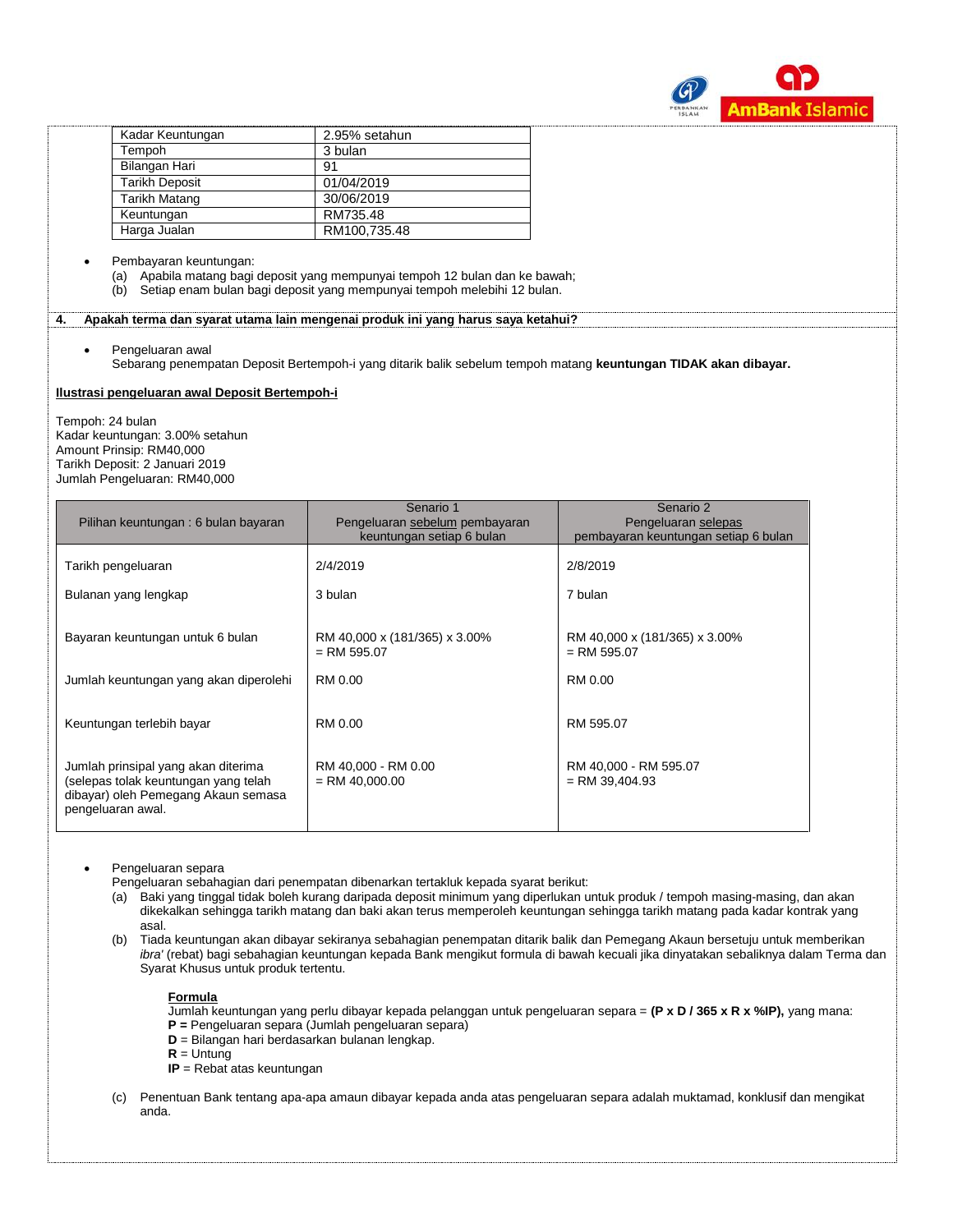

| Kadar Keuntungan      | 2.95% setahun |
|-----------------------|---------------|
| Tempoh                | 3 bulan       |
| Bilangan Hari         | 91            |
| <b>Tarikh Deposit</b> | 01/04/2019    |
| <b>Tarikh Matang</b>  | 30/06/2019    |
| Keuntungan            | RM735.48      |
| Harga Jualan          | RM100,735.48  |

#### Pembayaran keuntungan:

(a) Apabila matang bagi deposit yang mempunyai tempoh 12 bulan dan ke bawah;

(b) Setiap enam bulan bagi deposit yang mempunyai tempoh melebihi 12 bulan.

**4. Apakah terma dan syarat utama lain mengenai produk ini yang harus saya ketahui?**

Pengeluaran awal

Sebarang penempatan Deposit Bertempoh-i yang ditarik balik sebelum tempoh matang **keuntungan TIDAK akan dibayar.**

#### **Ilustrasi pengeluaran awal Deposit Bertempoh-i**

Tempoh: 24 bulan Kadar keuntungan: 3.00% setahun Amount Prinsip: RM40,000 Tarikh Deposit: 2 Januari 2019 Jumlah Pengeluaran: RM40,000

| Pilihan keuntungan: 6 bulan bayaran                                                                                                     | Senario 1<br>Pengeluaran sebelum pembayaran<br>keuntungan setiap 6 bulan | Senario 2<br>Pengeluaran selepas<br>pembayaran keuntungan setiap 6 bulan |
|-----------------------------------------------------------------------------------------------------------------------------------------|--------------------------------------------------------------------------|--------------------------------------------------------------------------|
| Tarikh pengeluaran                                                                                                                      | 2/4/2019                                                                 | 2/8/2019                                                                 |
| Bulanan yang lengkap                                                                                                                    | 3 bulan                                                                  | 7 bulan                                                                  |
| Bayaran keuntungan untuk 6 bulan                                                                                                        | RM 40,000 x (181/365) x 3.00%<br>$=$ RM 595.07                           | RM 40,000 x (181/365) x 3.00%<br>$=$ RM 595.07                           |
| Jumlah keuntungan yang akan diperolehi                                                                                                  | RM 0.00                                                                  | RM 0.00                                                                  |
| Keuntungan terlebih bayar                                                                                                               | RM 0.00                                                                  | RM 595.07                                                                |
| Jumlah prinsipal yang akan diterima<br>(selepas tolak keuntungan yang telah<br>dibayar) oleh Pemegang Akaun semasa<br>pengeluaran awal. | RM 40,000 - RM 0.00<br>$=$ RM 40.000.00                                  | RM 40,000 - RM 595.07<br>$=$ RM 39,404.93                                |

Pengeluaran separa

Pengeluaran sebahagian dari penempatan dibenarkan tertakluk kepada syarat berikut:

(a) Baki yang tinggal tidak boleh kurang daripada deposit minimum yang diperlukan untuk produk / tempoh masing-masing, dan akan dikekalkan sehingga tarikh matang dan baki akan terus memperoleh keuntungan sehingga tarikh matang pada kadar kontrak yang asal.

(b) Tiada keuntungan akan dibayar sekiranya sebahagian penempatan ditarik balik dan Pemegang Akaun bersetuju untuk memberikan *ibra'* (rebat) bagi sebahagian keuntungan kepada Bank mengikut formula di bawah kecuali jika dinyatakan sebaliknya dalam Terma dan Syarat Khusus untuk produk tertentu.

#### **Formula**

Jumlah keuntungan yang perlu dibayar kepada pelanggan untuk pengeluaran separa = **(P x D / 365 x R x %IP),** yang mana: **P =** Pengeluaran separa (Jumlah pengeluaran separa)

**D** = Bilangan hari berdasarkan bulanan lengkap.

 $R =$  Untung

- **IP** = Rebat atas keuntungan
- (c) Penentuan Bank tentang apa-apa amaun dibayar kepada anda atas pengeluaran separa adalah muktamad, konklusif dan mengikat anda.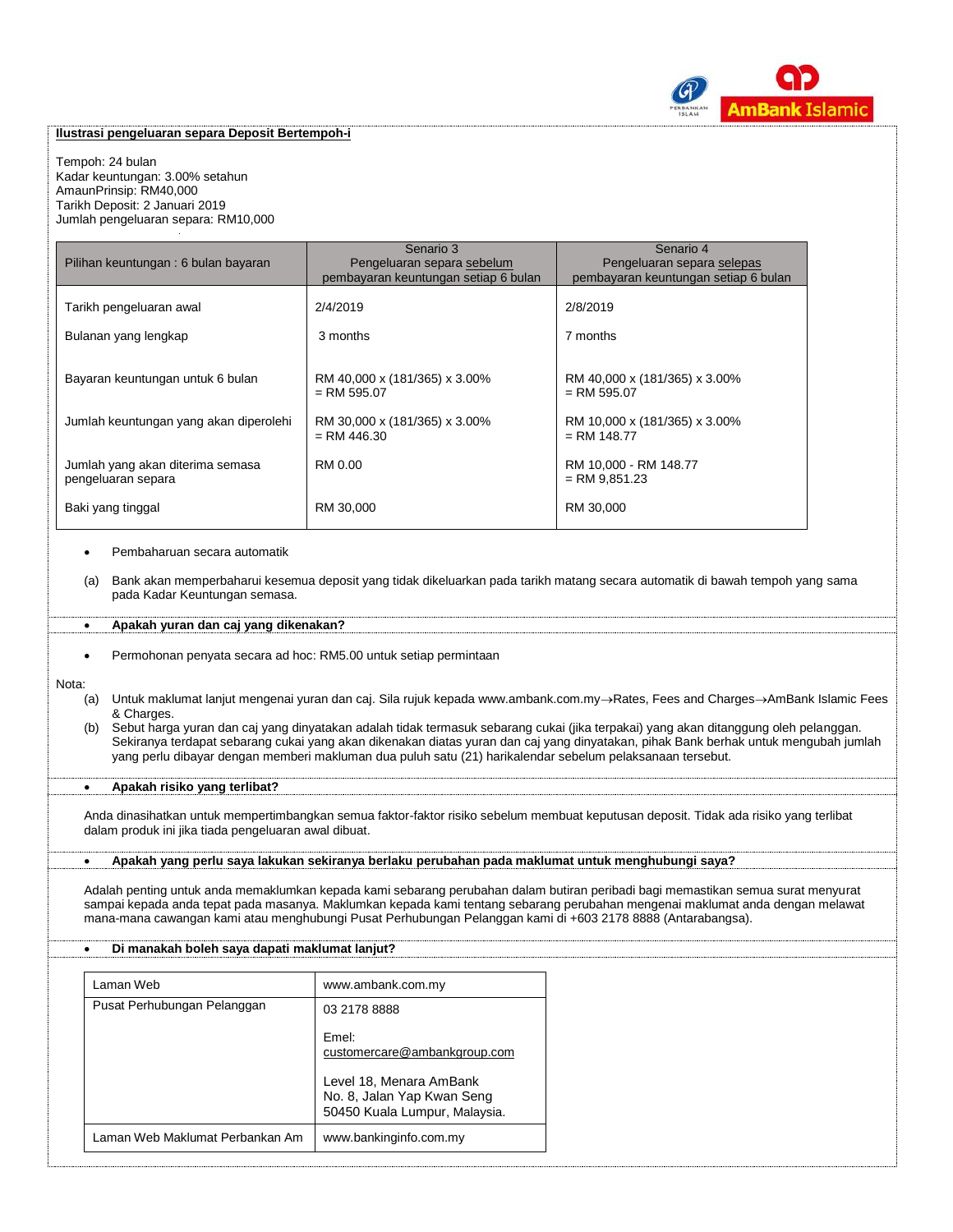

## **Ilustrasi pengeluaran separa Deposit Bertempoh-i**

Tempoh: 24 bulan Kadar keuntungan: 3.00% setahun AmaunPrinsip: RM40,000 Tarikh Deposit: 2 Januari 2019 Jumlah pengeluaran separa: RM10,000

|                                        | Senario 3                                      | Senario 4                                      |
|----------------------------------------|------------------------------------------------|------------------------------------------------|
| Pilihan keuntungan: 6 bulan bayaran    | Pengeluaran separa sebelum                     | Pengeluaran separa selepas                     |
|                                        | pembayaran keuntungan setiap 6 bulan           | pembayaran keuntungan setiap 6 bulan           |
| Tarikh pengeluaran awal                | 2/4/2019                                       | 2/8/2019                                       |
|                                        |                                                |                                                |
| Bulanan yang lengkap                   | 3 months                                       | 7 months                                       |
|                                        |                                                |                                                |
|                                        |                                                |                                                |
| Bayaran keuntungan untuk 6 bulan       | RM 40,000 x (181/365) x 3.00%<br>$=$ RM 595.07 | RM 40,000 x (181/365) x 3.00%<br>$=$ RM 595.07 |
|                                        |                                                |                                                |
| Jumlah keuntungan yang akan diperolehi | RM 30,000 x (181/365) x 3.00%                  | RM 10,000 x (181/365) x 3.00%                  |
|                                        | $=$ RM 446.30                                  | $=$ RM 148.77                                  |
| Jumlah yang akan diterima semasa       | RM 0.00                                        | RM 10,000 - RM 148.77                          |
| pengeluaran separa                     |                                                | $=$ RM 9,851.23                                |
|                                        |                                                |                                                |
| Baki yang tinggal                      | RM 30,000                                      | RM 30,000                                      |
|                                        |                                                |                                                |

#### Pembaharuan secara automatik

(a) Bank akan memperbaharui kesemua deposit yang tidak dikeluarkan pada tarikh matang secara automatik di bawah tempoh yang sama pada Kadar Keuntungan semasa.

#### **Apakah yuran dan caj yang dikenakan?**

Permohonan penyata secara ad hoc: RM5.00 untuk setiap permintaan

#### Nota:

- (a) Untuk maklumat lanjut mengenai yuran dan caj. Sila rujuk kepada www.ambank.com.my-Rates, Fees and Charges->AmBank Islamic Fees & Charges.
- (b) Sebut harga yuran dan caj yang dinyatakan adalah tidak termasuk sebarang cukai (jika terpakai) yang akan ditanggung oleh pelanggan. Sekiranya terdapat sebarang cukai yang akan dikenakan diatas yuran dan caj yang dinyatakan, pihak Bank berhak untuk mengubah jumlah yang perlu dibayar dengan memberi makluman dua puluh satu (21) harikalendar sebelum pelaksanaan tersebut.

## **Apakah risiko yang terlibat?**

Anda dinasihatkan untuk mempertimbangkan semua faktor-faktor risiko sebelum membuat keputusan deposit. Tidak ada risiko yang terlibat dalam produk ini jika tiada pengeluaran awal dibuat.

#### **Apakah yang perlu saya lakukan sekiranya berlaku perubahan pada maklumat untuk menghubungi saya?**

Adalah penting untuk anda memaklumkan kepada kami sebarang perubahan dalam butiran peribadi bagi memastikan semua surat menyurat sampai kepada anda tepat pada masanya. Maklumkan kepada kami tentang sebarang perubahan mengenai maklumat anda dengan melawat mana-mana cawangan kami atau menghubungi Pusat Perhubungan Pelanggan kami di +603 2178 8888 (Antarabangsa).

#### **Di manakah boleh saya dapati maklumat lanjut?**

| Laman Web                       | www.ambank.com.my                                                                      |
|---------------------------------|----------------------------------------------------------------------------------------|
| Pusat Perhubungan Pelanggan     | 03 2178 8888                                                                           |
|                                 | Fmel:<br>customercare@ambankgroup.com                                                  |
|                                 | Level 18, Menara AmBank<br>No. 8, Jalan Yap Kwan Seng<br>50450 Kuala Lumpur, Malaysia. |
| Laman Web Maklumat Perbankan Am | www.bankinginfo.com.my                                                                 |